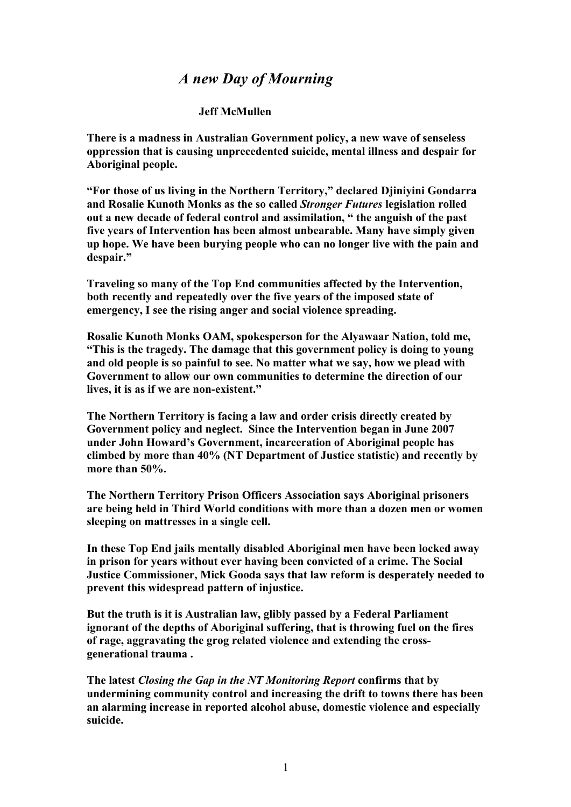## *A new Day of Mourning*

## **Jeff McMullen**

**There is a madness in Australian Government policy, a new wave of senseless oppression that is causing unprecedented suicide, mental illness and despair for Aboriginal people.**

**"For those of us living in the Northern Territory," declared Djiniyini Gondarra and Rosalie Kunoth Monks as the so called** *Stronger Futures* **legislation rolled out a new decade of federal control and assimilation, " the anguish of the past five years of Intervention has been almost unbearable. Many have simply given up hope. We have been burying people who can no longer live with the pain and despair."** 

**Traveling so many of the Top End communities affected by the Intervention, both recently and repeatedly over the five years of the imposed state of emergency, I see the rising anger and social violence spreading.**

**Rosalie Kunoth Monks OAM, spokesperson for the Alyawaar Nation, told me, "This is the tragedy. The damage that this government policy is doing to young and old people is so painful to see. No matter what we say, how we plead with Government to allow our own communities to determine the direction of our lives, it is as if we are non-existent."**

**The Northern Territory is facing a law and order crisis directly created by Government policy and neglect. Since the Intervention began in June 2007 under John Howard's Government, incarceration of Aboriginal people has climbed by more than 40% (NT Department of Justice statistic) and recently by more than 50%.**

**The Northern Territory Prison Officers Association says Aboriginal prisoners are being held in Third World conditions with more than a dozen men or women sleeping on mattresses in a single cell.** 

**In these Top End jails mentally disabled Aboriginal men have been locked away in prison for years without ever having been convicted of a crime. The Social Justice Commissioner, Mick Gooda says that law reform is desperately needed to prevent this widespread pattern of injustice.**

**But the truth is it is Australian law, glibly passed by a Federal Parliament ignorant of the depths of Aboriginal suffering, that is throwing fuel on the fires of rage, aggravating the grog related violence and extending the crossgenerational trauma .**

**The latest** *Closing the Gap in the NT Monitoring Report* **confirms that by undermining community control and increasing the drift to towns there has been an alarming increase in reported alcohol abuse, domestic violence and especially suicide.**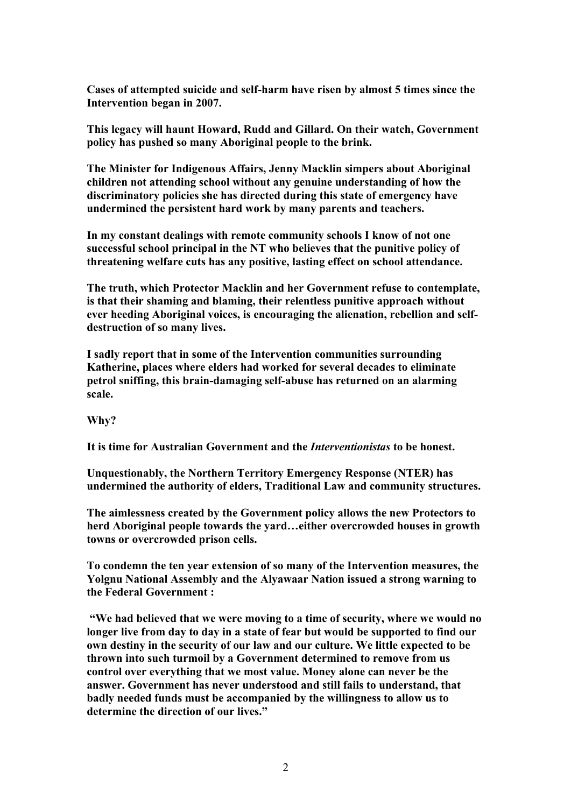**Cases of attempted suicide and self-harm have risen by almost 5 times since the Intervention began in 2007.**

**This legacy will haunt Howard, Rudd and Gillard. On their watch, Government policy has pushed so many Aboriginal people to the brink.**

**The Minister for Indigenous Affairs, Jenny Macklin simpers about Aboriginal children not attending school without any genuine understanding of how the discriminatory policies she has directed during this state of emergency have undermined the persistent hard work by many parents and teachers.** 

**In my constant dealings with remote community schools I know of not one successful school principal in the NT who believes that the punitive policy of threatening welfare cuts has any positive, lasting effect on school attendance.**

**The truth, which Protector Macklin and her Government refuse to contemplate, is that their shaming and blaming, their relentless punitive approach without ever heeding Aboriginal voices, is encouraging the alienation, rebellion and selfdestruction of so many lives.** 

**I sadly report that in some of the Intervention communities surrounding Katherine, places where elders had worked for several decades to eliminate petrol sniffing, this brain-damaging self-abuse has returned on an alarming scale.**

**Why?**

**It is time for Australian Government and the** *Interventionistas* **to be honest.**

**Unquestionably, the Northern Territory Emergency Response (NTER) has undermined the authority of elders, Traditional Law and community structures.**

**The aimlessness created by the Government policy allows the new Protectors to herd Aboriginal people towards the yard…either overcrowded houses in growth towns or overcrowded prison cells.**

**To condemn the ten year extension of so many of the Intervention measures, the Yolgnu National Assembly and the Alyawaar Nation issued a strong warning to the Federal Government :** 

**"We had believed that we were moving to a time of security, where we would no longer live from day to day in a state of fear but would be supported to find our own destiny in the security of our law and our culture. We little expected to be thrown into such turmoil by a Government determined to remove from us control over everything that we most value. Money alone can never be the answer. Government has never understood and still fails to understand, that badly needed funds must be accompanied by the willingness to allow us to determine the direction of our lives."**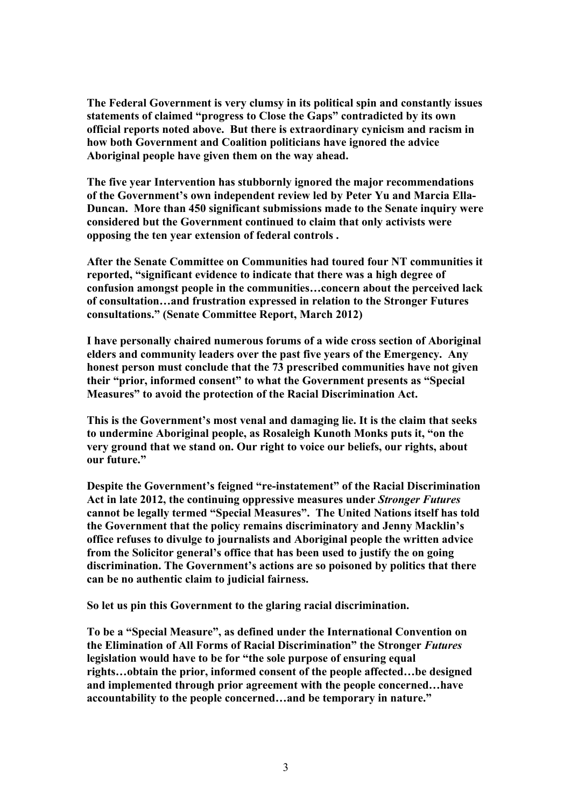**The Federal Government is very clumsy in its political spin and constantly issues statements of claimed "progress to Close the Gaps" contradicted by its own official reports noted above. But there is extraordinary cynicism and racism in how both Government and Coalition politicians have ignored the advice Aboriginal people have given them on the way ahead.**

**The five year Intervention has stubbornly ignored the major recommendations of the Government's own independent review led by Peter Yu and Marcia Ella-Duncan. More than 450 significant submissions made to the Senate inquiry were considered but the Government continued to claim that only activists were opposing the ten year extension of federal controls .** 

**After the Senate Committee on Communities had toured four NT communities it reported, "significant evidence to indicate that there was a high degree of confusion amongst people in the communities…concern about the perceived lack of consultation…and frustration expressed in relation to the Stronger Futures consultations." (Senate Committee Report, March 2012)**

**I have personally chaired numerous forums of a wide cross section of Aboriginal elders and community leaders over the past five years of the Emergency. Any honest person must conclude that the 73 prescribed communities have not given their "prior, informed consent" to what the Government presents as "Special Measures" to avoid the protection of the Racial Discrimination Act.**

**This is the Government's most venal and damaging lie. It is the claim that seeks to undermine Aboriginal people, as Rosaleigh Kunoth Monks puts it, "on the very ground that we stand on. Our right to voice our beliefs, our rights, about our future."**

**Despite the Government's feigned "re-instatement" of the Racial Discrimination Act in late 2012, the continuing oppressive measures under** *Stronger Futures*  **cannot be legally termed "Special Measures". The United Nations itself has told the Government that the policy remains discriminatory and Jenny Macklin's office refuses to divulge to journalists and Aboriginal people the written advice from the Solicitor general's office that has been used to justify the on going discrimination. The Government's actions are so poisoned by politics that there can be no authentic claim to judicial fairness.** 

**So let us pin this Government to the glaring racial discrimination.** 

**To be a "Special Measure", as defined under the International Convention on the Elimination of All Forms of Racial Discrimination" the Stronger** *Futures*  **legislation would have to be for "the sole purpose of ensuring equal rights…obtain the prior, informed consent of the people affected…be designed and implemented through prior agreement with the people concerned…have accountability to the people concerned…and be temporary in nature."**